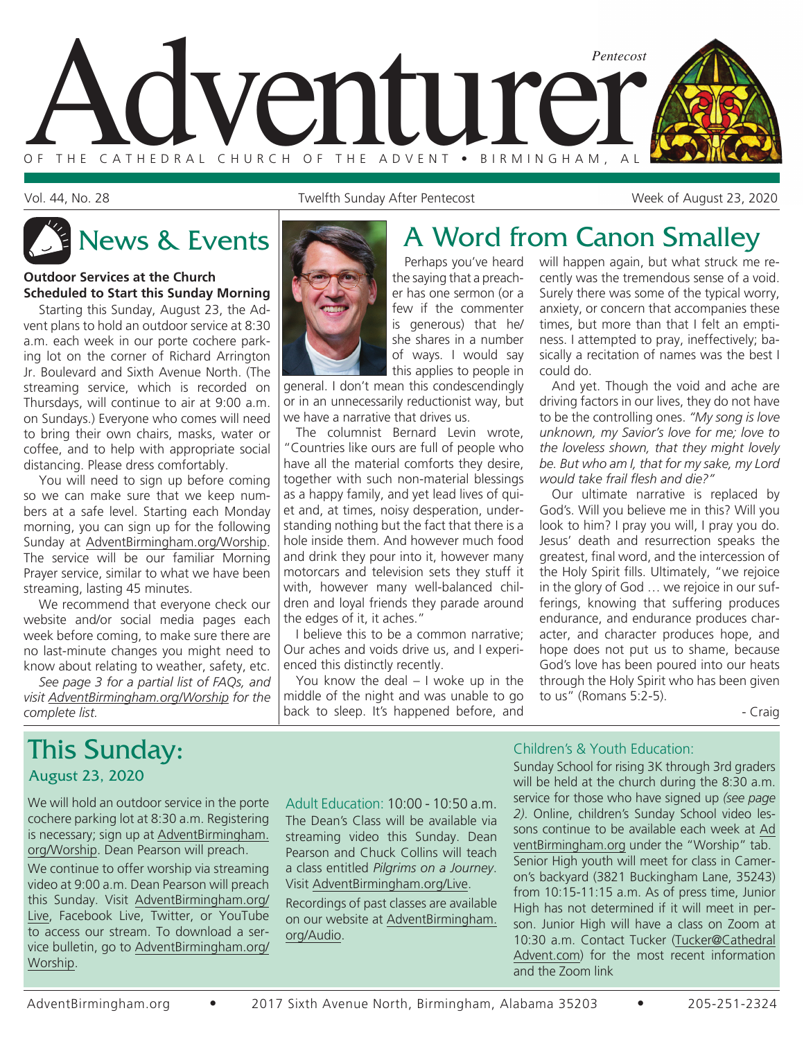

Vol. 44, No. 28 Twelfth Sunday After Pentecost Week of August 23, 2020

#### **Outdoor Services at the Church Scheduled to Start this Sunday Morning**

Starting this Sunday, August 23, the Advent plans to hold an outdoor service at 8:30 a.m. each week in our porte cochere parking lot on the corner of Richard Arrington Jr. Boulevard and Sixth Avenue North. (The streaming service, which is recorded on Thursdays, will continue to air at 9:00 a.m. on Sundays.) Everyone who comes will need to bring their own chairs, masks, water or coffee, and to help with appropriate social distancing. Please dress comfortably.

You will need to sign up before coming so we can make sure that we keep numbers at a safe level. Starting each Monday morning, you can sign up for the following Sunday at AdventBirmingham.org/Worship. The service will be our familiar Morning Prayer service, similar to what we have been streaming, lasting 45 minutes.

We recommend that everyone check our website and/or social media pages each week before coming, to make sure there are no last-minute changes you might need to know about relating to weather, safety, etc.

*See page 3 for a partial list of FAQs, and visit AdventBirmingham.org/Worship for the complete list.*

### This Sunday: August 23, 2020

We will hold an outdoor service in the porte cochere parking lot at 8:30 a.m. Registering is necessary; sign up at AdventBirmingham. org/Worship. Dean Pearson will preach.

We continue to offer worship via streaming video at 9:00 a.m. Dean Pearson will preach this Sunday. Visit AdventBirmingham.org/ Live, Facebook Live, Twitter, or YouTube to access our stream. To download a service bulletin, go to AdventBirmingham.org/ Worship.

Adult Education: 10:00 - 10:50 a.m. The Dean's Class will be available via streaming video this Sunday. Dean Pearson and Chuck Collins will teach a class entitled *Pilgrims on a Journey*. Visit AdventBirmingham.org/Live.

Recordings of past classes are available on our website at AdventBirmingham. org/Audio.

## News & Events **A Word from Canon Smalley**

Perhaps you've heard the saying that a preacher has one sermon (or a few if the commenter is generous) that he/ she shares in a number of ways. I would say this applies to people in

general. I don't mean this condescendingly or in an unnecessarily reductionist way, but we have a narrative that drives us.

The columnist Bernard Levin wrote, "Countries like ours are full of people who have all the material comforts they desire, together with such non-material blessings as a happy family, and yet lead lives of quiet and, at times, noisy desperation, understanding nothing but the fact that there is a hole inside them. And however much food and drink they pour into it, however many motorcars and television sets they stuff it with, however many well-balanced children and loyal friends they parade around the edges of it, it aches."

I believe this to be a common narrative; Our aches and voids drive us, and I experienced this distinctly recently.

You know the deal – I woke up in the middle of the night and was unable to go back to sleep. It's happened before, and will happen again, but what struck me recently was the tremendous sense of a void. Surely there was some of the typical worry, anxiety, or concern that accompanies these times, but more than that I felt an emptiness. I attempted to pray, ineffectively; basically a recitation of names was the best I could do.

And yet. Though the void and ache are driving factors in our lives, they do not have to be the controlling ones. *"My song is love unknown, my Savior's love for me; love to the loveless shown, that they might lovely be. But who am I, that for my sake, my Lord would take frail flesh and die?"*

Our ultimate narrative is replaced by God's. Will you believe me in this? Will you look to him? I pray you will, I pray you do. Jesus' death and resurrection speaks the greatest, final word, and the intercession of the Holy Spirit fills. Ultimately, "we rejoice in the glory of God … we rejoice in our sufferings, knowing that suffering produces endurance, and endurance produces character, and character produces hope, and hope does not put us to shame, because God's love has been poured into our heats through the Holy Spirit who has been given to us" (Romans 5:2-5).

- Craig

#### Children's & Youth Education:

Sunday School for rising 3K through 3rd graders will be held at the church during the 8:30 a.m. service for those who have signed up *(see page 2)*. Online, children's Sunday School video lessons continue to be available each week at Ad ventBirmingham.org under the "Worship" tab. Senior High youth will meet for class in Cameron's backyard (3821 Buckingham Lane, 35243) from 10:15-11:15 a.m. As of press time, Junior High has not determined if it will meet in person. Junior High will have a class on Zoom at 10:30 a.m. Contact Tucker (Tucker@Cathedral Advent.com) for the most recent information and the Zoom link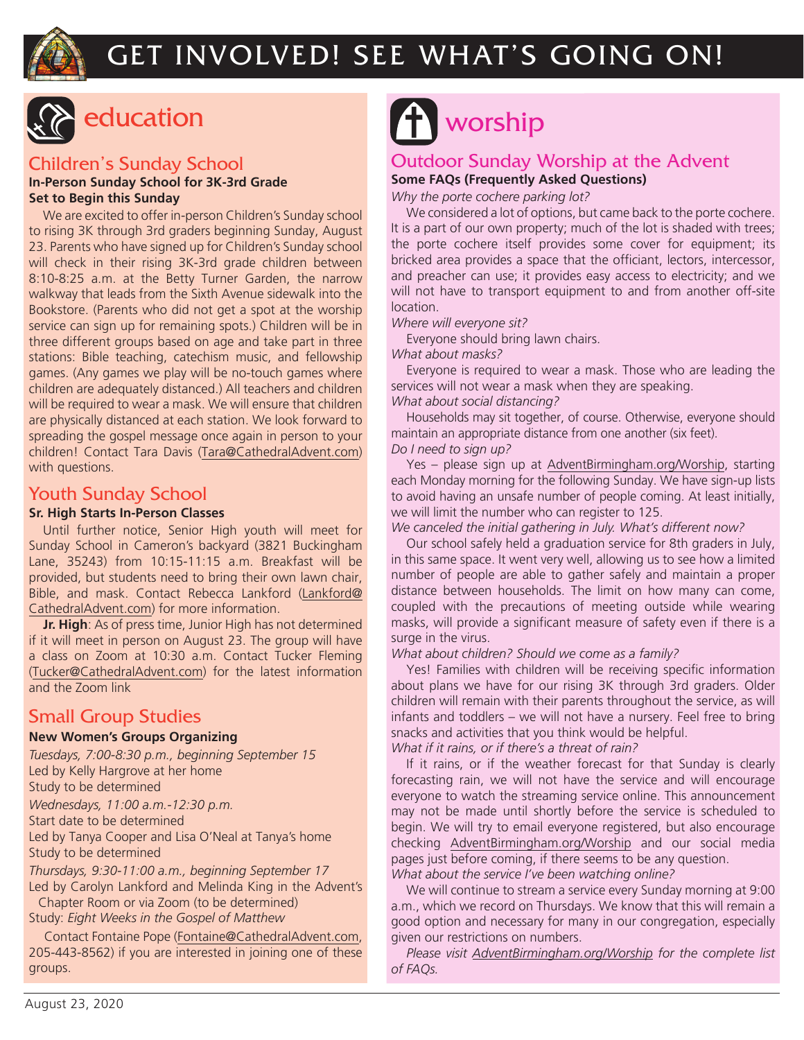

# GET INVOLVED! SEE WHAT'S GOING ON!



# education and **the set of the set of the set of the set of the set of the set of the set of the set of the set o**

#### Children's Sunday School **In-Person Sunday School for 3K-3rd Grade Set to Begin this Sunday**

We are excited to offer in-person Children's Sunday school to rising 3K through 3rd graders beginning Sunday, August 23. Parents who have signed up for Children's Sunday school will check in their rising 3K-3rd grade children between 8:10-8:25 a.m. at the Betty Turner Garden, the narrow walkway that leads from the Sixth Avenue sidewalk into the Bookstore. (Parents who did not get a spot at the worship service can sign up for remaining spots.) Children will be in three different groups based on age and take part in three stations: Bible teaching, catechism music, and fellowship games. (Any games we play will be no-touch games where children are adequately distanced.) All teachers and children will be required to wear a mask. We will ensure that children are physically distanced at each station. We look forward to spreading the gospel message once again in person to your children! Contact Tara Davis (Tara@CathedralAdvent.com) with questions.

#### Youth Sunday School

#### **Sr. High Starts In-Person Classes**

Until further notice, Senior High youth will meet for Sunday School in Cameron's backyard (3821 Buckingham Lane, 35243) from 10:15-11:15 a.m. Breakfast will be provided, but students need to bring their own lawn chair, Bible, and mask. Contact Rebecca Lankford (Lankford@ CathedralAdvent.com) for more information.

**Jr. High**: As of press time, Junior High has not determined if it will meet in person on August 23. The group will have a class on Zoom at 10:30 a.m. Contact Tucker Fleming (Tucker@CathedralAdvent.com) for the latest information and the Zoom link

#### Small Group Studies

#### **New Women's Groups Organizing**

*Tuesdays, 7:00-8:30 p.m., beginning September 15* Led by Kelly Hargrove at her home Study to be determined *Wednesdays, 11:00 a.m.-12:30 p.m.* Start date to be determined Led by Tanya Cooper and Lisa O'Neal at Tanya's home Study to be determined

*Thursdays, 9:30-11:00 a.m., beginning September 17* Led by Carolyn Lankford and Melinda King in the Advent's

Chapter Room or via Zoom (to be determined) Study: *Eight Weeks in the Gospel of Matthew*

Contact Fontaine Pope (Fontaine@CathedralAdvent.com, 205-443-8562) if you are interested in joining one of these groups.



#### Outdoor Sunday Worship at the Advent **Some FAQs (Frequently Asked Questions)**

*Why the porte cochere parking lot?*

We considered a lot of options, but came back to the porte cochere. It is a part of our own property; much of the lot is shaded with trees; the porte cochere itself provides some cover for equipment; its bricked area provides a space that the officiant, lectors, intercessor, and preacher can use; it provides easy access to electricity; and we will not have to transport equipment to and from another off-site location.

*Where will everyone sit?*

Everyone should bring lawn chairs.

*What about masks?*

Everyone is required to wear a mask. Those who are leading the services will not wear a mask when they are speaking.

*What about social distancing?*

Households may sit together, of course. Otherwise, everyone should maintain an appropriate distance from one another (six feet).

*Do I need to sign up?*

Yes – please sign up at AdventBirmingham.org/Worship, starting each Monday morning for the following Sunday. We have sign-up lists to avoid having an unsafe number of people coming. At least initially, we will limit the number who can register to 125.

*We canceled the initial gathering in July. What's different now?*

Our school safely held a graduation service for 8th graders in July, in this same space. It went very well, allowing us to see how a limited number of people are able to gather safely and maintain a proper distance between households. The limit on how many can come, coupled with the precautions of meeting outside while wearing masks, will provide a significant measure of safety even if there is a surge in the virus.

#### *What about children? Should we come as a family?*

Yes! Families with children will be receiving specific information about plans we have for our rising 3K through 3rd graders. Older children will remain with their parents throughout the service, as will infants and toddlers – we will not have a nursery. Feel free to bring snacks and activities that you think would be helpful.

*What if it rains, or if there's a threat of rain?*

If it rains, or if the weather forecast for that Sunday is clearly forecasting rain, we will not have the service and will encourage everyone to watch the streaming service online. This announcement may not be made until shortly before the service is scheduled to begin. We will try to email everyone registered, but also encourage checking AdventBirmingham.org/Worship and our social media pages just before coming, if there seems to be any question.

*What about the service I've been watching online?*

We will continue to stream a service every Sunday morning at 9:00 a.m., which we record on Thursdays. We know that this will remain a good option and necessary for many in our congregation, especially given our restrictions on numbers.

*Please visit AdventBirmingham.org/Worship for the complete list of FAQs.*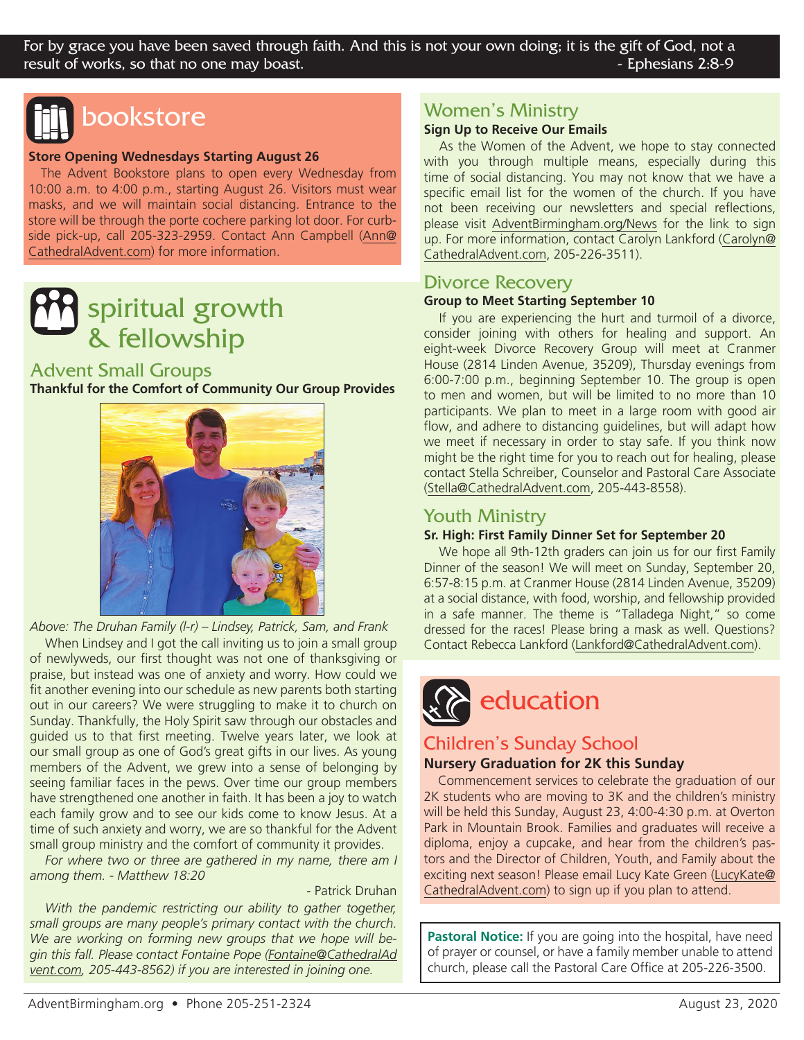

# bookstore

#### **Store Opening Wednesdays Starting August 26**

The Advent Bookstore plans to open every Wednesday from 10:00 a.m. to 4:00 p.m., starting August 26. Visitors must wear masks, and we will maintain social distancing. Entrance to the store will be through the porte cochere parking lot door. For curbside pick-up, call 205-323-2959. Contact Ann Campbell (Ann@ CathedralAdvent.com) for more information.

# spiritual growth & fellowship

#### Advent Small Groups

**ThankfuI for the Comfort of Community Our Group Provides**



*Above: The Druhan Family (l-r) – Lindsey, Patrick, Sam, and Frank*

When Lindsey and I got the call inviting us to join a small group of newlyweds, our first thought was not one of thanksgiving or praise, but instead was one of anxiety and worry. How could we fit another evening into our schedule as new parents both starting out in our careers? We were struggling to make it to church on Sunday. Thankfully, the Holy Spirit saw through our obstacles and guided us to that first meeting. Twelve years later, we look at our small group as one of God's great gifts in our lives. As young members of the Advent, we grew into a sense of belonging by seeing familiar faces in the pews. Over time our group members have strengthened one another in faith. It has been a joy to watch each family grow and to see our kids come to know Jesus. At a time of such anxiety and worry, we are so thankful for the Advent small group ministry and the comfort of community it provides.

*For where two or three are gathered in my name, there am I among them. - Matthew 18:20*

#### - Patrick Druhan

*With the pandemic restricting our ability to gather together, small groups are many people's primary contact with the church. We are working on forming new groups that we hope will begin this fall. Please contact Fontaine Pope (Fontaine@CathedralAd vent.com, 205-443-8562) if you are interested in joining one.*

#### Women's Ministry

#### **Sign Up to Receive Our Emails**

As the Women of the Advent, we hope to stay connected with you through multiple means, especially during this time of social distancing. You may not know that we have a specific email list for the women of the church. If you have not been receiving our newsletters and special reflections, please visit AdventBirmingham.org/News for the link to sign up. For more information, contact Carolyn Lankford (Carolyn@ CathedralAdvent.com, 205-226-3511).

#### Divorce Recovery

#### **Group to Meet Starting September 10**

If you are experiencing the hurt and turmoil of a divorce, consider joining with others for healing and support. An eight-week Divorce Recovery Group will meet at Cranmer House (2814 Linden Avenue, 35209), Thursday evenings from 6:00-7:00 p.m., beginning September 10. The group is open to men and women, but will be limited to no more than 10 participants. We plan to meet in a large room with good air flow, and adhere to distancing guidelines, but will adapt how we meet if necessary in order to stay safe. If you think now might be the right time for you to reach out for healing, please contact Stella Schreiber, Counselor and Pastoral Care Associate (Stella@CathedralAdvent.com, 205-443-8558).

#### Youth Ministry

#### **Sr. High: First Family Dinner Set for September 20**

We hope all 9th-12th graders can join us for our first Family Dinner of the season! We will meet on Sunday, September 20, 6:57-8:15 p.m. at Cranmer House (2814 Linden Avenue, 35209) at a social distance, with food, worship, and fellowship provided in a safe manner. The theme is "Talladega Night," so come dressed for the races! Please bring a mask as well. Questions? Contact Rebecca Lankford (Lankford@CathedralAdvent.com).



#### Children's Sunday School

#### **Nursery Graduation for 2K this Sunday**

Commencement services to celebrate the graduation of our 2K students who are moving to 3K and the children's ministry will be held this Sunday, August 23, 4:00-4:30 p.m. at Overton Park in Mountain Brook. Families and graduates will receive a diploma, enjoy a cupcake, and hear from the children's pastors and the Director of Children, Youth, and Family about the exciting next season! Please email Lucy Kate Green (LucyKate@ CathedralAdvent.com) to sign up if you plan to attend.

**Pastoral Notice:** If you are going into the hospital, have need of prayer or counsel, or have a family member unable to attend church, please call the Pastoral Care Office at 205-226-3500.